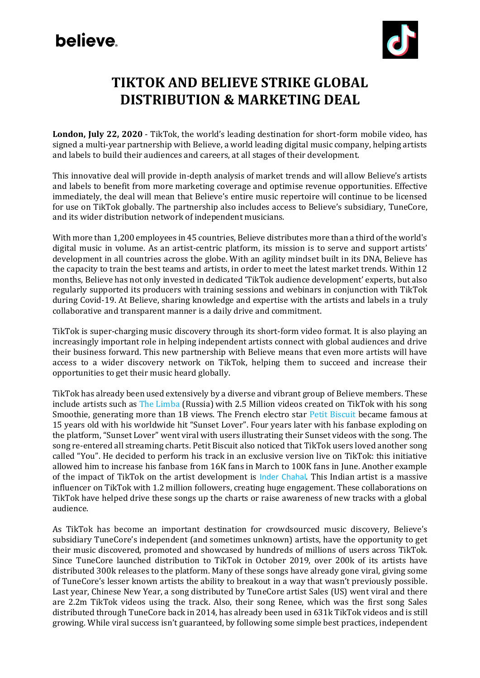# **believe**



## **TIKTOK AND BELIEVE STRIKE GLOBAL DISTRIBUTION & MARKETING DEAL**

**London, July 22, 2020** - TikTok, the world's leading destination for short-form mobile video, has signed a multi-year partnership with Believe, a world leading digital music company, helping artists and labels to build their audiences and careers, at all stages of their development.

This innovative deal will provide in-depth analysis of market trends and will allow Believe's artists and labels to benefit from more marketing coverage and optimise revenue opportunities. Effective immediately, the deal will mean that Believe's entire music repertoire will continue to be licensed for use on TikTok globally. The partnership also includes access to Believe's subsidiary, TuneCore, and its wider distribution network of independent musicians.

With more than 1,200 employees in 45 countries, Believe distributes more than a third of the world's digital music in volume. As an artist-centric platform, its mission is to serve and support artists' development in all countries across the globe. With an agility mindset built in its DNA, Believe has the capacity to train the best teams and artists, in order to meet the latest market trends. Within 12 months, Believe has not only invested in dedicated 'TikTok audience development' experts, but also regularly supported its producers with training sessions and webinars in conjunction with TikTok during Covid-19. At Believe, sharing knowledge and expertise with the artists and labels in a truly collaborative and transparent manner is a daily drive and commitment.

TikTok is super-charging music discovery through its short-form video format. It is also playing an increasingly important role in helping independent artists connect with global audiences and drive their business forward. This new partnership with Believe means that even more artists will have access to a wider discovery network on TikTok, helping them to succeed and increase their opportunities to get their music heard globally.

TikTok has already been used extensively by a diverse and vibrant group of Believe members. These include artists such a[s The Limba](https://www.tiktok.com/@thelimba) (Russia) with 2.5 Million videos created on TikTok with his song Smoothie, generating more than 1B views. The French electro sta[r Petit Biscuit](https://www.tiktok.com/@petitbiscuit) became famous at 15 years old with his worldwide hit "Sunset Lover". Four years later with his fanbase exploding on the platform, "Sunset Lover" went viral with users illustrating their Sunset videos with the song. The song re-entered all streaming charts. Petit Biscuit also noticed that TikTok users loved another song called "You". He decided to perform his track in an exclusive version live on TikTok: this initiative allowed him to increase his fanbase from 16K fans in March to 100K fans in June. Another example of the impact of TikTok on the artist development is [Inder Chahal](http://www.tiktok.com/@inderchahalofficiall). This Indian artist is a massive influencer on TikTok with 1.2 million followers, creating huge engagement. These collaborations on TikTok have helped drive these songs up the charts or raise awareness of new tracks with a global audience.

As TikTok has become an important destination for crowdsourced music discovery, Believe's subsidiary TuneCore's independent (and sometimes unknown) artists, have the opportunity to get their music discovered, promoted and showcased by hundreds of millions of users across TikTok. Since TuneCore launched distribution to TikTok in October 2019, over 200k of its artists have distributed 300k releases to the platform. Many of these songs have already gone viral, giving some of TuneCore's lesser known artists the ability to breakout in a way that wasn't previously possible. Last year, [Chinese New](https://www.tiktok.com/music/Chinese-New-Year-6690711983962098438?lang=en) Year, a song distributed by TuneCore artist Sales (US) went viral and there are 2.2m TikTok videos using the track. Also, their song [Renee,](https://www.tiktok.com/music/Renee-6733693538464287493?lang=en) which was the first song Sales distributed through TuneCore back in 2014, has already been used in 631k TikTok videos and is still growing. While viral success isn't guaranteed, by following some simple best practices, independent